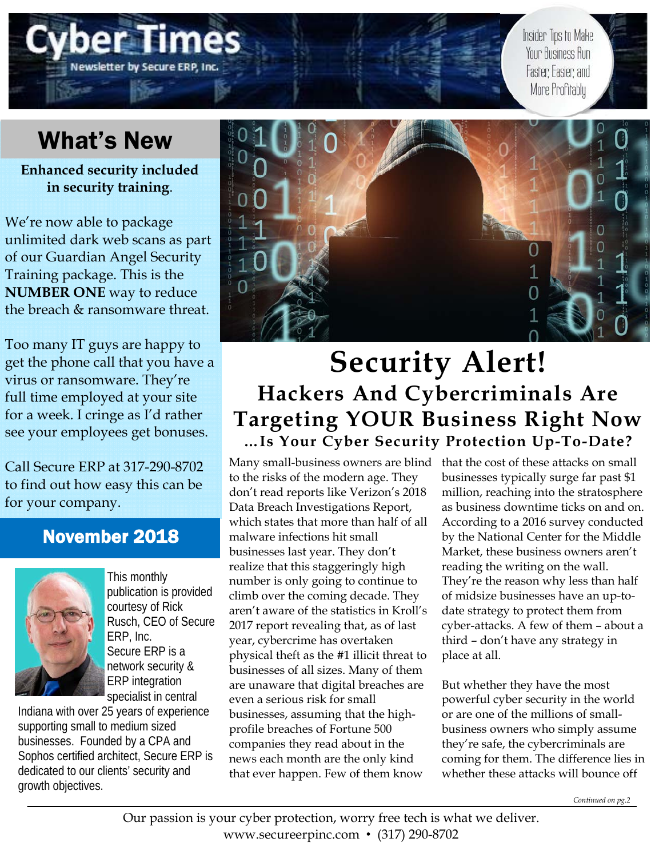# Newsletter by Secure ERP, Inc

Insider Tips to Make Your Business Run Faster, Easier, and More Profitably

# What's New

**Enhanced security included in security training**.

We're now able to package unlimited dark web scans as part of our Guardian Angel Security Training package. This is the **NUMBER ONE** way to reduce the breach & ransomware threat.

Too many IT guys are happy to get the phone call that you have a virus or ransomware. They're full time employed at your site for a week. I cringe as I'd rather see your employees get bonuses.

Call Secure ERP at 317-290-8702 to find out how easy this can be for your company.

## November 2018



This monthly publication is provided courtesy of Rick Rusch, CEO of Secure ERP, Inc. Secure ERP is a network security & ERP integration specialist in central

Indiana with over 25 years of experience supporting small to medium sized businesses. Founded by a CPA and Sophos certified architect, Secure ERP is dedicated to our clients' security and growth objectives.



# **Security Alert! Hackers And Cybercriminals Are Targeting YOUR Business Right Now …Is Your Cyber Security Protection Up-To-Date?**

Many small-business owners are blind that the cost of these attacks on small to the risks of the modern age. They don't read reports like Verizon's 2018 Data Breach Investigations Report, which states that more than half of all malware infections hit small businesses last year. They don't realize that this staggeringly high number is only going to continue to climb over the coming decade. They aren't aware of the statistics in Kroll's 2017 report revealing that, as of last year, cybercrime has overtaken physical theft as the #1 illicit threat to businesses of all sizes. Many of them are unaware that digital breaches are even a serious risk for small businesses, assuming that the highprofile breaches of Fortune 500 companies they read about in the news each month are the only kind that ever happen. Few of them know

businesses typically surge far past \$1 million, reaching into the stratosphere as business downtime ticks on and on. According to a 2016 survey conducted by the National Center for the Middle Market, these business owners aren't reading the writing on the wall. They're the reason why less than half of midsize businesses have an up-todate strategy to protect them from cyber-attacks. A few of them – about a third – don't have any strategy in place at all.

But whether they have the most powerful cyber security in the world or are one of the millions of smallbusiness owners who simply assume they're safe, the cybercriminals are coming for them. The difference lies in whether these attacks will bounce off

*Continued on pg.2*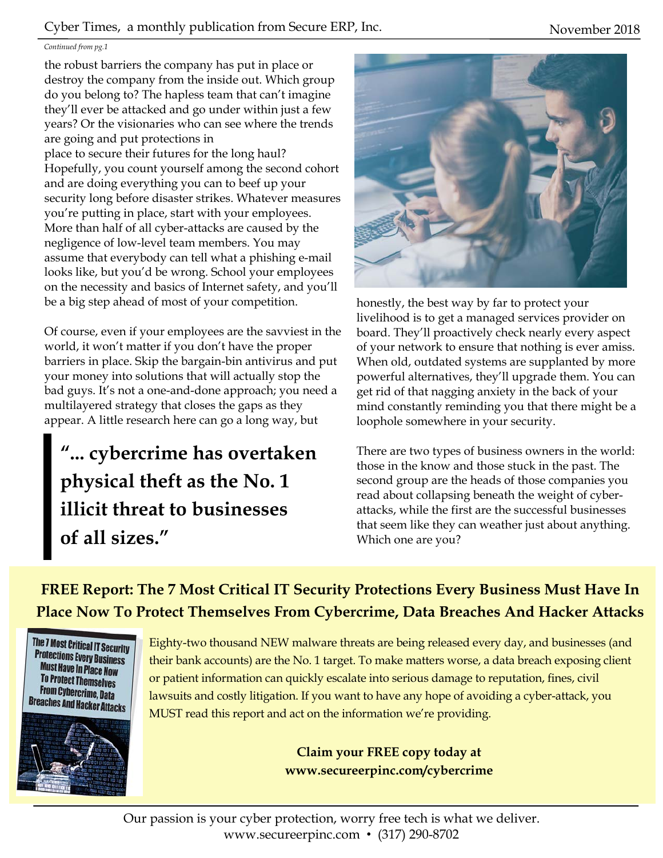#### Cyber Times, a monthly publication from Secure ERP, Inc. November 2018

#### *Continued from pg.1*

the robust barriers the company has put in place or destroy the company from the inside out. Which group do you belong to? The hapless team that can't imagine they'll ever be attacked and go under within just a few years? Or the visionaries who can see where the trends are going and put protections in place to secure their futures for the long haul? Hopefully, you count yourself among the second cohort and are doing everything you can to beef up your security long before disaster strikes. Whatever measures you're putting in place, start with your employees. More than half of all cyber-attacks are caused by the negligence of low-level team members. You may assume that everybody can tell what a phishing e-mail looks like, but you'd be wrong. School your employees on the necessity and basics of Internet safety, and you'll be a big step ahead of most of your competition.

Of course, even if your employees are the savviest in the world, it won't matter if you don't have the proper barriers in place. Skip the bargain-bin antivirus and put your money into solutions that will actually stop the bad guys. It's not a one-and-done approach; you need a multilayered strategy that closes the gaps as they appear. A little research here can go a long way, but

**"... cybercrime has overtaken physical theft as the No. 1 illicit threat to businesses of all sizes."** 



honestly, the best way by far to protect your livelihood is to get a managed services provider on board. They'll proactively check nearly every aspect of your network to ensure that nothing is ever amiss. When old, outdated systems are supplanted by more powerful alternatives, they'll upgrade them. You can get rid of that nagging anxiety in the back of your mind constantly reminding you that there might be a loophole somewhere in your security.

There are two types of business owners in the world: those in the know and those stuck in the past. The second group are the heads of those companies you read about collapsing beneath the weight of cyberattacks, while the first are the successful businesses that seem like they can weather just about anything. Which one are you?

**FREE Report: The 7 Most Critical IT Security Protections Every Business Must Have In Place Now To Protect Themselves From Cybercrime, Data Breaches And Hacker Attacks** 



Eighty-two thousand NEW malware threats are being released every day, and businesses (and their bank accounts) are the No. 1 target. To make matters worse, a data breach exposing client or patient information can quickly escalate into serious damage to reputation, fines, civil lawsuits and costly litigation. If you want to have any hope of avoiding a cyber-attack, you MUST read this report and act on the information we're providing.

> **Claim your FREE copy today at www.secureerpinc.com/cybercrime**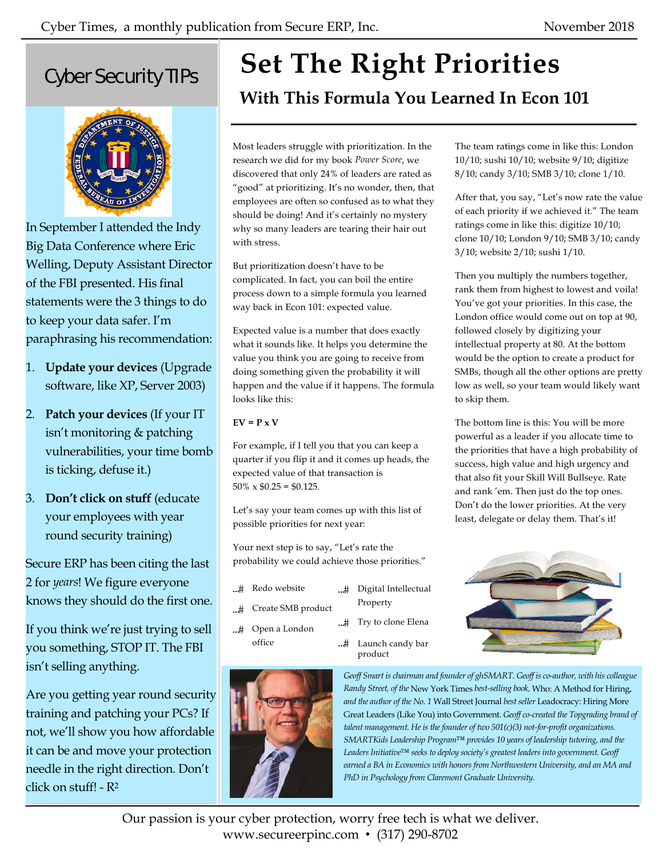The team ratings come in like this: London 10/10; sushi 10/10; website 9/10; digitize 8/10; candy 3/10; SMB 3/10; clone 1/10.

After that, you say, "Let's now rate the value of each priority if we achieved it." The team ratings come in like this: digitize 10/10; clone 10/10; London 9/10; SMB 3/10; candy

Then you multiply the numbers together, rank them from highest to lowest and voila! You've got your priorities. In this case, the London office would come out on top at 90,

3/10; website 2/10; sushi 1/10.

followed closely by digitizing your intellectual property at 80. At the bottom would be the option to create a product for SMBs, though all the other options are pretty low as well, so your team would likely want

The bottom line is this: You will be more powerful as a leader if you allocate time to the priorities that have a high probability of success, high value and high urgency and that also fit your Skill Will Bullseye. Rate and rank 'em. Then just do the top ones. Don't do the lower priorities. At the very least, delegate or delay them. That's it!

to skip them.

# Cyber Security TIPs



In September I attended the Indy Big Data Conference where Eric Welling, Deputy Assistant Director of the FBI presented. His final statements were the 3 things to do to keep your data safer. I'm paraphrasing his recommendation:

- 1. **Update your devices** (Upgrade software, like XP, Server 2003)
- 2. **Patch your devices** (If your IT isn't monitoring & patching vulnerabilities, your time bomb is ticking, defuse it.)
- 3. **Don't click on stuff** (educate your employees with year round security training)

Secure ERP has been citing the last 2 for *years*! We figure everyone knows they should do the first one.

If you think we're just trying to sell you something, STOP IT. The FBI isn't selling anything.

Are you getting year round security training and patching your PCs? If not, we'll show you how affordable it can be and move your protection needle in the right direction. Don't click on stuff! - R2

# **Set The Right Priorities**

**With This Formula You Learned In Econ 101** 

Most leaders struggle with prioritization. In the research we did for my book *Power Score*, we discovered that only 24% of leaders are rated as "good" at prioritizing. It's no wonder, then, that employees are often so confused as to what they should be doing! And it's certainly no mystery why so many leaders are tearing their hair out with stress.

But prioritization doesn't have to be complicated. In fact, you can boil the entire process down to a simple formula you learned way back in Econ 101: expected value.

Expected value is a number that does exactly what it sounds like. It helps you determine the value you think you are going to receive from doing something given the probability it will happen and the value if it happens. The formula looks like this:

#### $EV = P \times V$

For example, if I tell you that you can keep a quarter if you flip it and it comes up heads, the expected value of that transaction is  $50\% \times $0.25 = $0.125$ .

Let's say your team comes up with this list of possible priorities for next year:

Your next step is to say, "Let's rate the probability we could achieve those priorities."

- ...# Redo website
- ...# Create SMB product
- ...# Open a London office



Property

- ...# Try to clone Elena
- ...# Launch candy bar product



*Geoff Smart is chairman and founder of ghSMART. Geoff is co-author, with his colleague Randy Street, of the* New York Times *best-selling book,* Who: A Method for Hiring, *and the author of the No. 1* Wall Street Journal *best seller* Leadocracy: Hiring More Great Leaders (Like You) into Government*. Geoff co-created the Topgrading brand of talent management. He is the founder of two 501(c)(3) not-for-profit organizations. SMARTKids Leadership Program™ provides 10 years of leadership tutoring, and the Leaders Initiative™ seeks to deploy society's greatest leaders into government. Geoff earned a BA in Economics with honors from Northwestern University, and an MA and PhD in Psychology from Claremont Graduate University.* 

Our passion is your cyber protection, worry free tech is what we deliver. www.secureerpinc.com • (317) 290-8702

...# Digital Intellectual